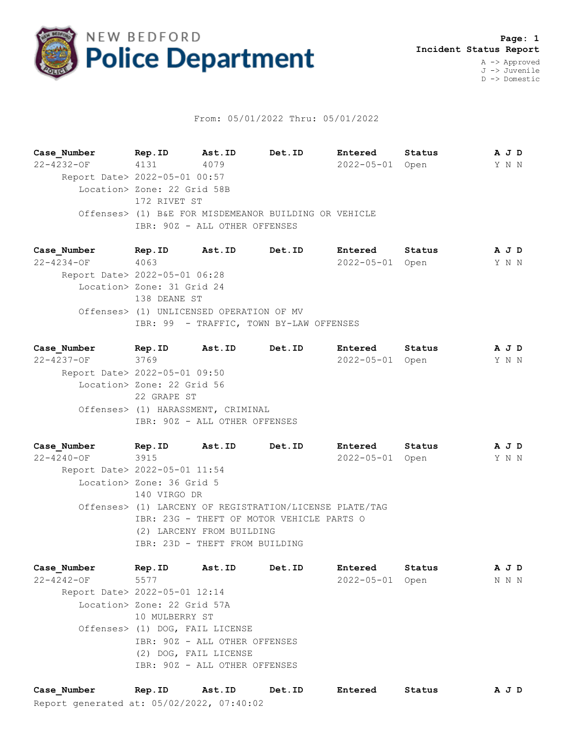

## From: 05/01/2022 Thru: 05/01/2022

**Case\_Number Rep.ID Ast.ID Det.ID Entered Status A J D** 22-4232-OF 4131 4079 2022-05-01 Open Y N N Report Date> 2022-05-01 00:57 Location> Zone: 22 Grid 58B 172 RIVET ST Offenses> (1) B&E FOR MISDEMEANOR BUILDING OR VEHICLE IBR: 90Z - ALL OTHER OFFENSES

**Case\_Number Rep.ID Ast.ID Det.ID Entered Status A J D** 22-4234-OF 4063 2022-05-01 Open Y N N Report Date> 2022-05-01 06:28 Location> Zone: 31 Grid 24 138 DEANE ST Offenses> (1) UNLICENSED OPERATION OF MV IBR: 99 - TRAFFIC, TOWN BY-LAW OFFENSES

**Case\_Number Rep.ID Ast.ID Det.ID Entered Status A J D** 22-4237-OF 3769 2022-05-01 Open Y N N Report Date> 2022-05-01 09:50 Location> Zone: 22 Grid 56 22 GRAPE ST Offenses> (1) HARASSMENT, CRIMINAL IBR: 90Z - ALL OTHER OFFENSES

**Case\_Number Rep.ID Ast.ID Det.ID Entered Status A J D** 22-4240-OF 3915 2022-05-01 Open Y N N Report Date> 2022-05-01 11:54 Location> Zone: 36 Grid 5 140 VIRGO DR Offenses> (1) LARCENY OF REGISTRATION/LICENSE PLATE/TAG IBR: 23G - THEFT OF MOTOR VEHICLE PARTS O (2) LARCENY FROM BUILDING IBR: 23D - THEFT FROM BUILDING

**Case\_Number Rep.ID Ast.ID Det.ID Entered Status A J D** 22-4242-OF 5577 2022-05-01 Open N N N Report Date> 2022-05-01 12:14 Location> Zone: 22 Grid 57A 10 MULBERRY ST Offenses> (1) DOG, FAIL LICENSE IBR: 90Z - ALL OTHER OFFENSES (2) DOG, FAIL LICENSE IBR: 90Z - ALL OTHER OFFENSES

Report generated at: 05/02/2022, 07:40:02 **Case\_Number Rep.ID Ast.ID Det.ID Entered Status A J D**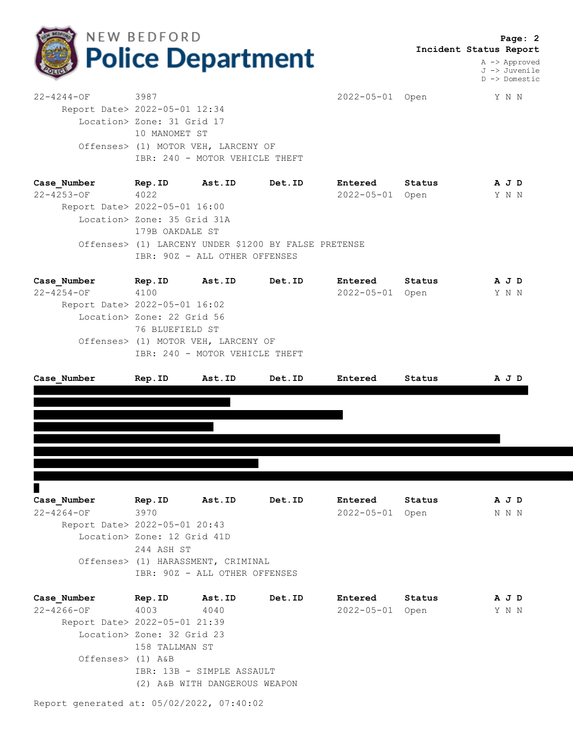

 **Page: 2 Incident Status Report**

> A -> Approved J -> Juvenile D -> Domestic

22-4244-OF 3987 2022-05-01 Open Y N N Report Date> 2022-05-01 12:34 Location> Zone: 31 Grid 17 10 MANOMET ST Offenses> (1) MOTOR VEH, LARCENY OF IBR: 240 - MOTOR VEHICLE THEFT

**Case\_Number Rep.ID Ast.ID Det.ID Entered Status A J D** 22-4253-OF 4022 2022-05-01 Open Y N N Report Date> 2022-05-01 16:00 Location> Zone: 35 Grid 31A 179B OAKDALE ST Offenses> (1) LARCENY UNDER \$1200 BY FALSE PRETENSE IBR: 90Z - ALL OTHER OFFENSES

| Case Number                   | Rep.ID                              | Ast.ID                         | Det.ID | Entered          | Status | A J D |  |  |  |
|-------------------------------|-------------------------------------|--------------------------------|--------|------------------|--------|-------|--|--|--|
| $22 - 4254 - 0F$              | 4100                                |                                |        | $2022 - 05 - 01$ | Open   | Y N N |  |  |  |
| Report Date> 2022-05-01 16:02 |                                     |                                |        |                  |        |       |  |  |  |
|                               | Location> Zone: 22 Grid 56          |                                |        |                  |        |       |  |  |  |
|                               | 76 BLUEFIELD ST                     |                                |        |                  |        |       |  |  |  |
|                               | Offenses> (1) MOTOR VEH, LARCENY OF |                                |        |                  |        |       |  |  |  |
|                               |                                     | IBR: 240 - MOTOR VEHICLE THEFT |        |                  |        |       |  |  |  |
|                               |                                     |                                |        |                  |        |       |  |  |  |

| Case Number      | Rep.ID                        | Ast.ID | Det.ID | Entered          | Status | A J D |
|------------------|-------------------------------|--------|--------|------------------|--------|-------|
|                  |                               |        |        |                  |        |       |
|                  |                               |        |        |                  |        |       |
|                  |                               |        |        |                  |        |       |
|                  |                               |        |        |                  |        |       |
|                  |                               |        |        |                  |        |       |
|                  |                               |        |        |                  |        |       |
|                  |                               |        |        |                  |        |       |
|                  |                               |        |        |                  |        |       |
| ш                |                               |        |        |                  |        |       |
| Case_Number      | Rep.ID                        | Ast.ID | Det.ID | Entered          | Status | A J D |
| $22 - 4264 - OF$ | 3970                          |        |        | $2022 - 05 - 01$ | Open   | N N N |
|                  | Report Date> 2022-05-01 20:43 |        |        |                  |        |       |
|                  | Location> Zone: 12 Grid 41D   |        |        |                  |        |       |

 Location> Zone: 12 Grid 41D 244 ASH ST Offenses> (1) HARASSMENT, CRIMINAL IBR: 90Z - ALL OTHER OFFENSES

| Case Number                   | Rep.ID                     | <b>Ast.ID</b>             | Det.ID | Entered          | Status | A J D |  |
|-------------------------------|----------------------------|---------------------------|--------|------------------|--------|-------|--|
| $22 - 4266 - OF$              | 4003                       | 4040                      |        | $2022 - 05 - 01$ | Open   | Y N N |  |
| Report Date> 2022-05-01 21:39 |                            |                           |        |                  |        |       |  |
|                               | Location> Zone: 32 Grid 23 |                           |        |                  |        |       |  |
|                               | 158 TALLMAN ST             |                           |        |                  |        |       |  |
| Offenses> (1) A&B             |                            |                           |        |                  |        |       |  |
|                               |                            | IBR: 13B - SIMPLE ASSAULT |        |                  |        |       |  |
|                               | (2)                        | A&B WITH DANGEROUS WEAPON |        |                  |        |       |  |